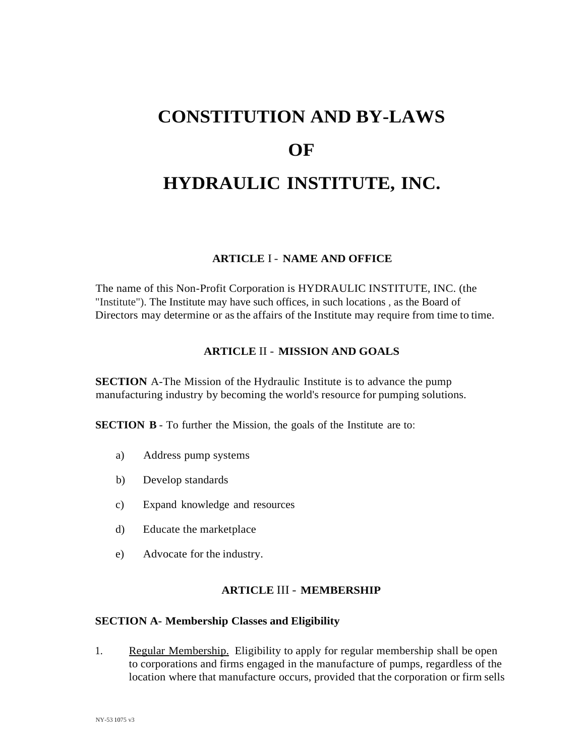# **CONSTITUTION AND BY-LAWS OF HYDRAULIC INSTITUTE, INC.**

#### **ARTICLE** I - **NAME AND OFFICE**

The name of this Non-Profit Corporation is HYDRAULIC INSTITUTE, INC. (the "Institute"). The Institute may have such offices, in such locations , as the Board of Directors may determine or asthe affairs of the Institute may require from time to time.

#### **ARTICLE** II - **MISSION AND GOALS**

**SECTION** A-The Mission of the Hydraulic Institute is to advance the pump manufacturing industry by becoming the world's resource for pumping solutions.

**SECTION B** - To further the Mission, the goals of the Institute are to:

- a) Address pump systems
- b) Develop standards
- c) Expand knowledge and resources
- d) Educate the marketplace
- e) Advocate for the industry.

#### **ARTICLE** III - **MEMBERSHIP**

#### **SECTION A- Membership Classes and Eligibility**

1. Regular Membership. Eligibility to apply for regular membership shall be open to corporations and firms engaged in the manufacture of pumps, regardless of the location where that manufacture occurs, provided that the corporation or firm sells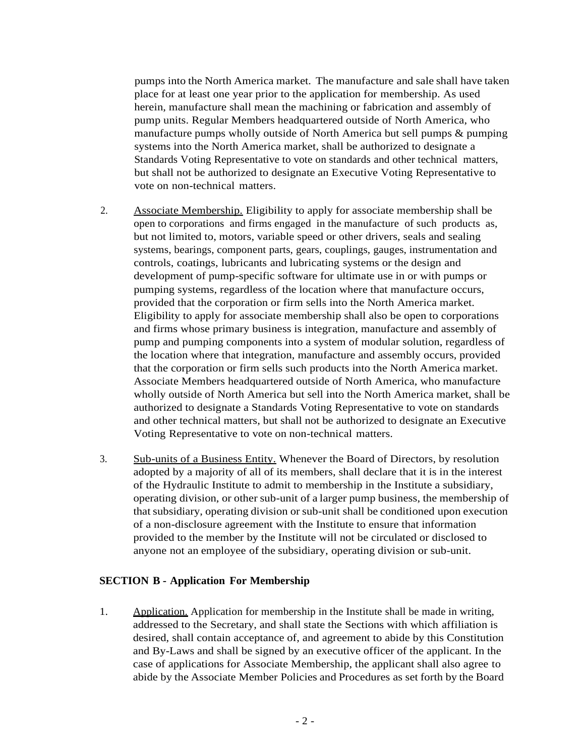pumps into the North America market. The manufacture and sale shall have taken place for at least one year prior to the application for membership. As used herein, manufacture shall mean the machining or fabrication and assembly of pump units. Regular Members headquartered outside of North America, who manufacture pumps wholly outside of North America but sell pumps & pumping systems into the North America market, shall be authorized to designate a Standards Voting Representative to vote on standards and other technical matters, but shall not be authorized to designate an Executive Voting Representative to vote on non-technical matters.

- 2. Associate Membership. Eligibility to apply for associate membership shall be open to corporations and firms engaged in the manufacture of such products as, but not limited to, motors, variable speed or other drivers, seals and sealing systems, bearings, component parts, gears, couplings, gauges, instrumentation and controls, coatings, lubricants and lubricating systems or the design and development of pump-specific software for ultimate use in or with pumps or pumping systems, regardless of the location where that manufacture occurs, provided that the corporation or firm sells into the North America market. Eligibility to apply for associate membership shall also be open to corporations and firms whose primary business is integration, manufacture and assembly of pump and pumping components into a system of modular solution, regardless of the location where that integration, manufacture and assembly occurs, provided that the corporation or firm sells such products into the North America market. Associate Members headquartered outside of North America, who manufacture wholly outside of North America but sell into the North America market, shall be authorized to designate a Standards Voting Representative to vote on standards and other technical matters, but shall not be authorized to designate an Executive Voting Representative to vote on non-technical matters.
- 3. Sub-units of a Business Entity. Whenever the Board of Directors, by resolution adopted by a majority of all of its members, shall declare that it is in the interest of the Hydraulic Institute to admit to membership in the Institute a subsidiary, operating division, or other sub-unit of a larger pump business, the membership of that subsidiary, operating division or sub-unit shall be conditioned upon execution of a non-disclosure agreement with the Institute to ensure that information provided to the member by the Institute will not be circulated or disclosed to anyone not an employee of the subsidiary, operating division or sub-unit.

#### **SECTION B - Application For Membership**

1. Application. Application for membership in the Institute shall be made in writing, addressed to the Secretary, and shall state the Sections with which affiliation is desired, shall contain acceptance of, and agreement to abide by this Constitution and By-Laws and shall be signed by an executive officer of the applicant. In the case of applications for Associate Membership, the applicant shall also agree to abide by the Associate Member Policies and Procedures as set forth by the Board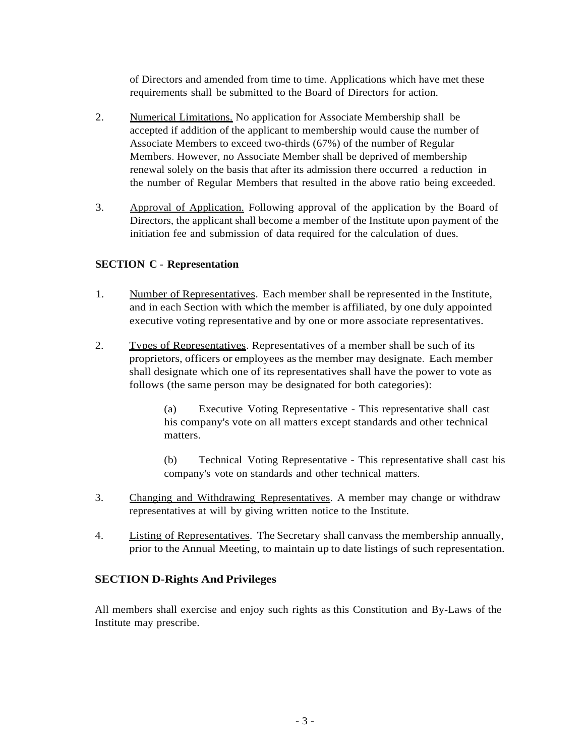of Directors and amended from time to time. Applications which have met these requirements shall be submitted to the Board of Directors for action.

- 2. Numerical Limitations. No application for Associate Membership shall be accepted if addition of the applicant to membership would cause the number of Associate Members to exceed two-thirds (67%) of the number of Regular Members. However, no Associate Member shall be deprived of membership renewal solely on the basis that after its admission there occurred a reduction in the number of Regular Members that resulted in the above ratio being exceeded.
- 3. Approval of Application. Following approval of the application by the Board of Directors, the applicant shall become a member of the Institute upon payment of the initiation fee and submission of data required for the calculation of dues.

#### **SECTION C** - **Representation**

- 1. Number of Representatives. Each member shall be represented in the Institute, and in each Section with which the member is affiliated, by one duly appointed executive voting representative and by one or more associate representatives.
- 2. Types of Representatives. Representatives of a member shall be such of its proprietors, officers or employees asthe member may designate. Each member shall designate which one of its representatives shall have the power to vote as follows (the same person may be designated for both categories):

(a) Executive Voting Representative - This representative shall cast his company's vote on all matters except standards and other technical matters.

(b) Technical Voting Representative - This representative shall cast his company's vote on standards and other technical matters.

- 3. Changing and Withdrawing Representatives. A member may change or withdraw representatives at will by giving written notice to the Institute.
- 4. Listing of Representatives. The Secretary shall canvass the membership annually, prior to the Annual Meeting, to maintain up to date listings of such representation.

#### **SECTION D-Rights And Privileges**

All members shall exercise and enjoy such rights as this Constitution and By-Laws of the Institute may prescribe.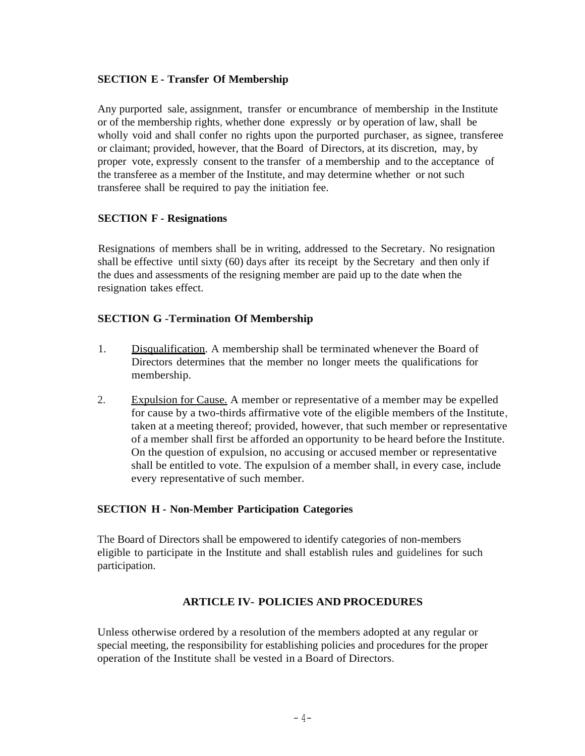#### **SECTION E - Transfer Of Membership**

Any purported sale, assignment, transfer or encumbrance of membership in the Institute or of the membership rights, whether done expressly or by operation of law, shall be wholly void and shall confer no rights upon the purported purchaser, as signee, transferee or claimant; provided, however, that the Board of Directors, at its discretion, may, by proper vote, expressly consent to the transfer of a membership and to the acceptance of the transferee as a member of the Institute, and may determine whether or not such transferee shall be required to pay the initiation fee.

#### **SECTION F - Resignations**

Resignations of members shall be in writing, addressed to the Secretary. No resignation shall be effective until sixty (60) days after its receipt by the Secretary and then only if the dues and assessments of the resigning member are paid up to the date when the resignation takes effect.

## **SECTION G -Termination Of Membership**

- 1. Disqualification. A membership shall be terminated whenever the Board of Directors determines that the member no longer meets the qualifications for membership.
- 2. Expulsion for Cause. A member or representative of a member may be expelled for cause by a two-thirds affirmative vote of the eligible members of the Institute, taken at a meeting thereof; provided, however, that such member or representative of a member shall first be afforded an opportunity to be heard before the Institute. On the question of expulsion, no accusing or accused member or representative shall be entitled to vote. The expulsion of a member shall, in every case, include every representative of such member.

#### **SECTION H - Non-Member Participation Categories**

The Board of Directors shall be empowered to identify categories of non-members eligible to participate in the Institute and shall establish rules and guidelines for such participation.

# **ARTICLE IV- POLICIES AND PROCEDURES**

Unless otherwise ordered by a resolution of the members adopted at any regular or special meeting, the responsibility for establishing policies and procedures for the proper operation of the Institute shall be vested in a Board of Directors.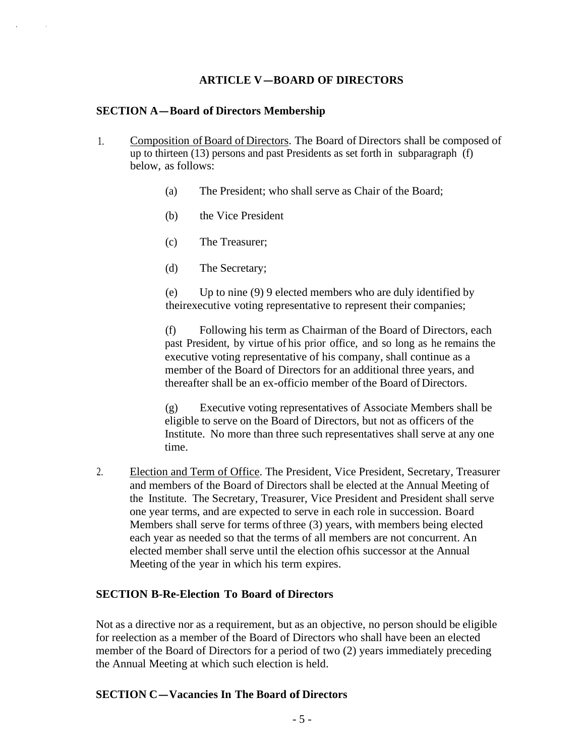## **ARTICLE V-BOARD OF DIRECTORS**

#### **SECTION A-Board of Directors Membership**

- 1. Composition ofBoard of Directors. The Board of Directors shall be composed of up to thirteen (13) persons and past Presidents as set forth in subparagraph (f) below, as follows:
	- (a) The President; who shall serve as Chair of the Board;
	- (b) the Vice President
	- (c) The Treasurer;
	- (d) The Secretary;

(e) Up to nine (9) 9 elected members who are duly identified by theirexecutive voting representative to represent their companies;

(f) Following his term as Chairman of the Board of Directors, each past President, by virtue of his prior office, and so long as he remains the executive voting representative of his company, shall continue as a member of the Board of Directors for an additional three years, and thereafter shall be an ex-officio member of the Board of Directors.

(g) Executive voting representatives of Associate Members shall be eligible to serve on the Board of Directors, but not as officers of the Institute. No more than three such representatives shall serve at any one time.

2. Election and Term of Office. The President, Vice President, Secretary, Treasurer and members of the Board of Directors shall be elected at the Annual Meeting of the Institute. The Secretary, Treasurer, Vice President and President shall serve one year terms, and are expected to serve in each role in succession. Board Members shall serve for terms ofthree (3) years, with members being elected each year as needed so that the terms of all members are not concurrent. An elected member shall serve until the election ofhis successor at the Annual Meeting of the year in which his term expires.

#### **SECTION B-Re-Election To Board of Directors**

Not as a directive nor as a requirement, but as an objective, no person should be eligible for reelection as a member of the Board of Directors who shall have been an elected member of the Board of Directors for a period of two (2) years immediately preceding the Annual Meeting at which such election is held.

#### **SECTION C-Vacancies In The Board of Directors**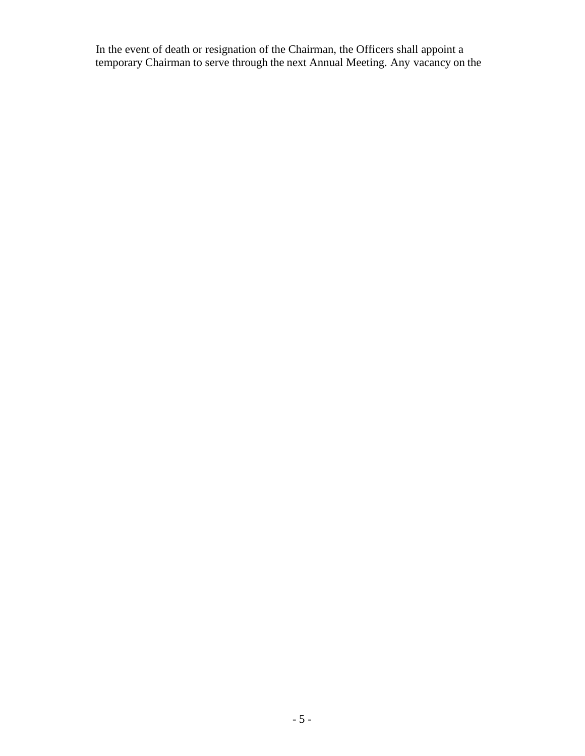In the event of death or resignation of the Chairman, the Officers shall appoint a temporary Chairman to serve through the next Annual Meeting. Any vacancy on the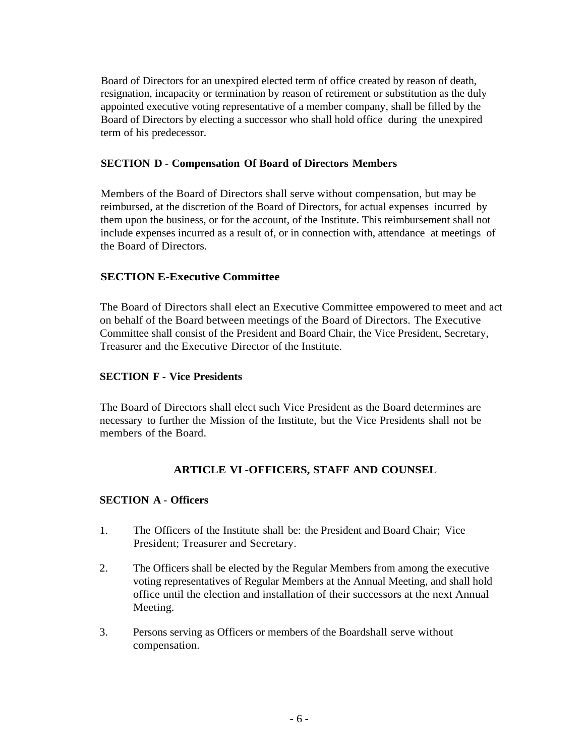Board of Directors for an unexpired elected term of office created by reason of death, resignation, incapacity or termination by reason of retirement or substitution as the duly appointed executive voting representative of a member company, shall be filled by the Board of Directors by electing a successor who shall hold office during the unexpired term of his predecessor.

#### **SECTION D - Compensation Of Board of Directors Members**

Members of the Board of Directors shall serve without compensation, but may be reimbursed, at the discretion of the Board of Directors, for actual expenses incurred by them upon the business, or for the account, of the Institute. This reimbursement shall not include expenses incurred as a result of, or in connection with, attendance at meetings of the Board of Directors.

#### **SECTION E-Executive Committee**

The Board of Directors shall elect an Executive Committee empowered to meet and act on behalf of the Board between meetings of the Board of Directors. The Executive Committee shall consist of the President and Board Chair, the Vice President, Secretary, Treasurer and the Executive Director of the Institute.

#### **SECTION F - Vice Presidents**

The Board of Directors shall elect such Vice President as the Board determines are necessary to further the Mission of the Institute, but the Vice Presidents shall not be members of the Board.

#### **ARTICLE VI -OFFICERS, STAFF AND COUNSEL**

## **SECTION A** - **Officers**

- 1. The Officers of the Institute shall be: the President and Board Chair; Vice President; Treasurer and Secretary.
- 2. The Officers shall be elected by the Regular Members from among the executive voting representatives of Regular Members at the Annual Meeting, and shall hold office until the election and installation of their successors at the next Annual Meeting.
- 3. Persons serving as Officers or members of the Boardshall serve without compensation.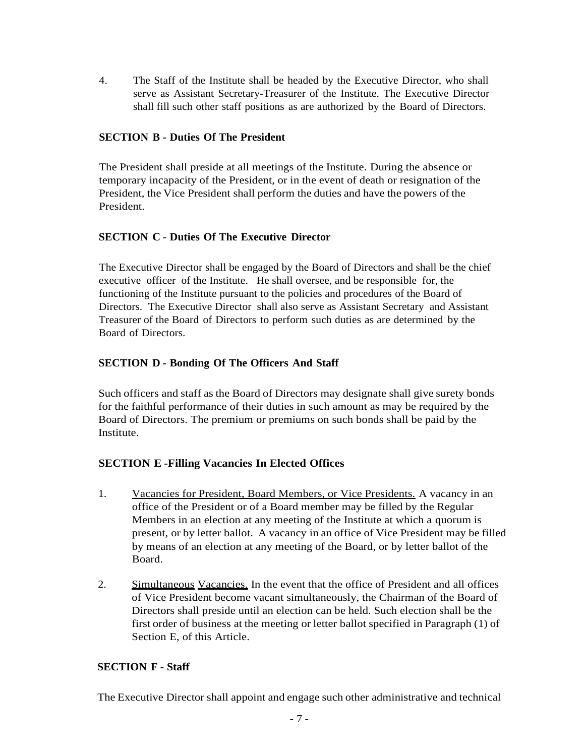4. The Staff of the Institute shall be headed by the Executive Director, who shall serve as Assistant Secretary-Treasurer of the Institute. The Executive Director shall fill such other staff positions as are authorized by the Board of Directors.

#### **SECTION B - Duties Of The President**

The President shall preside at all meetings of the Institute. During the absence or temporary incapacity of the President, or in the event of death or resignation of the President, the Vice President shall perform the duties and have the powers of the President.

## **SECTION C** - **Duties Of The Executive Director**

The Executive Director shall be engaged by the Board of Directors and shall be the chief executive officer of the Institute. He shall oversee, and be responsible for, the functioning of the Institute pursuant to the policies and procedures of the Board of Directors. The Executive Director shall also serve as Assistant Secretary and Assistant Treasurer of the Board of Directors to perform such duties as are determined by the Board of Directors.

## **SECTION D - Bonding Of The Officers And Staff**

Such officers and staff as the Board of Directors may designate shall give surety bonds for the faithful performance of their duties in such amount as may be required by the Board of Directors. The premium or premiums on such bonds shall be paid by the Institute.

#### **SECTION E -Filling Vacancies In Elected Offices**

- 1. Vacancies for President, Board Members, or Vice Presidents. A vacancy in an office of the President or of a Board member may be filled by the Regular Members in an election at any meeting of the Institute at which a quorum is present, or by letter ballot. A vacancy in an office of Vice President may be filled by means of an election at any meeting of the Board, or by letter ballot of the Board.
- 2. Simultaneous Vacancies. In the event that the office of President and all offices of Vice President become vacant simultaneously, the Chairman of the Board of Directors shall preside until an election can be held. Such election shall be the first order of business at the meeting or letter ballot specified in Paragraph (1) of Section E, of this Article.

#### **SECTION F - Staff**

The Executive Director shall appoint and engage such other administrative and technical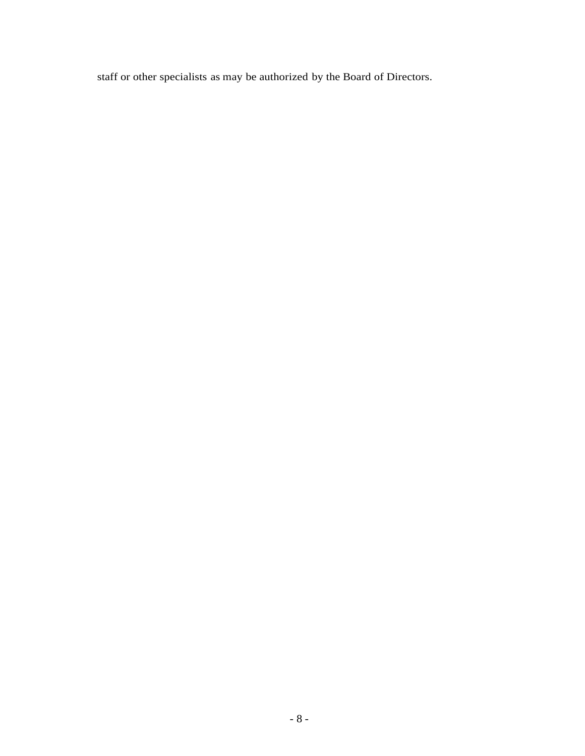staff or other specialists as may be authorized by the Board of Directors.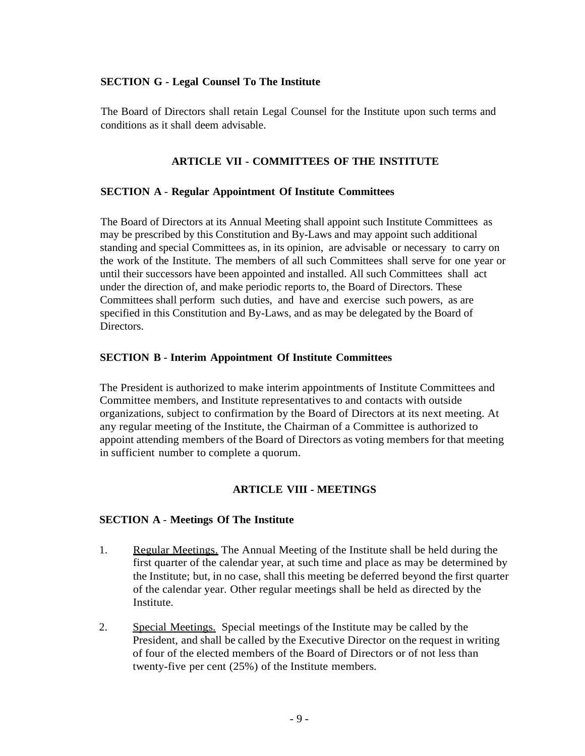#### **SECTION G - Legal Counsel To The Institute**

The Board of Directors shall retain Legal Counsel for the Institute upon such terms and conditions as it shall deem advisable.

#### **ARTICLE VII - COMMITTEES OF THE INSTITUTE**

#### **SECTION A** - **Regular Appointment Of Institute Committees**

The Board of Directors at its Annual Meeting shall appoint such Institute Committees as may be prescribed by this Constitution and By-Laws and may appoint such additional standing and special Committees as, in its opinion, are advisable or necessary to carry on the work of the Institute. The members of all such Committees shall serve for one year or until their successors have been appointed and installed. All such Committees shall act under the direction of, and make periodic reports to, the Board of Directors. These Committees shall perform such duties, and have and exercise such powers, as are specified in this Constitution and By-Laws, and as may be delegated by the Board of Directors.

#### **SECTION B - Interim Appointment Of Institute Committees**

The President is authorized to make interim appointments of Institute Committees and Committee members, and Institute representatives to and contacts with outside organizations, subject to confirmation by the Board of Directors at its next meeting. At any regular meeting of the Institute, the Chairman of a Committee is authorized to appoint attending members of the Board of Directors as voting members for that meeting in sufficient number to complete a quorum.

#### **ARTICLE VIII - MEETINGS**

#### **SECTION A** - **Meetings Of The Institute**

- 1. Regular Meetings. The Annual Meeting of the Institute shall be held during the first quarter of the calendar year, at such time and place as may be determined by the Institute; but, in no case, shall this meeting be deferred beyond the first quarter of the calendar year. Other regular meetings shall be held as directed by the Institute.
- 2. Special Meetings. Special meetings of the Institute may be called by the President, and shall be called by the Executive Director on the request in writing of four of the elected members of the Board of Directors or of not less than twenty-five per cent (25%) of the Institute members.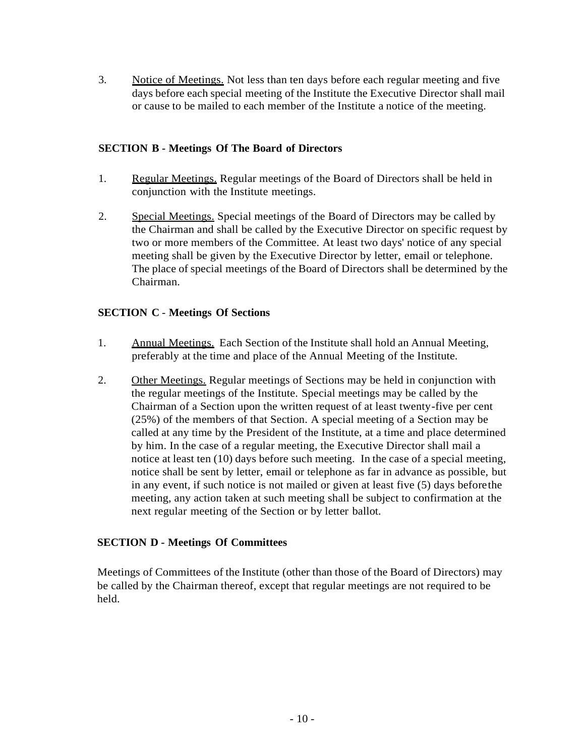3. Notice of Meetings. Not less than ten days before each regular meeting and five days before each special meeting of the Institute the Executive Director shall mail or cause to be mailed to each member of the Institute a notice of the meeting.

#### **SECTION B - Meetings Of The Board of Directors**

- 1. Regular Meetings. Regular meetings of the Board of Directors shall be held in conjunction with the Institute meetings.
- 2. Special Meetings. Special meetings of the Board of Directors may be called by the Chairman and shall be called by the Executive Director on specific request by two or more members of the Committee. At least two days' notice of any special meeting shall be given by the Executive Director by letter, email or telephone. The place of special meetings of the Board of Directors shall be determined by the Chairman.

## **SECTION C** - **Meetings Of Sections**

- 1. Annual Meetings. Each Section of the Institute shall hold an Annual Meeting, preferably at the time and place of the Annual Meeting of the Institute.
- 2. Other Meetings. Regular meetings of Sections may be held in conjunction with the regular meetings of the Institute. Special meetings may be called by the Chairman of a Section upon the written request of at least twenty-five per cent (25%) of the members of that Section. A special meeting of a Section may be called at any time by the President of the Institute, at a time and place determined by him. In the case of a regular meeting, the Executive Director shall mail a notice at least ten (10) days before such meeting. In the case of a special meeting, notice shall be sent by letter, email or telephone as far in advance as possible, but in any event, if such notice is not mailed or given at least five (5) days beforethe meeting, any action taken at such meeting shall be subject to confirmation at the next regular meeting of the Section or by letter ballot.

#### **SECTION D - Meetings Of Committees**

Meetings of Committees of the Institute (other than those of the Board of Directors) may be called by the Chairman thereof, except that regular meetings are not required to be held.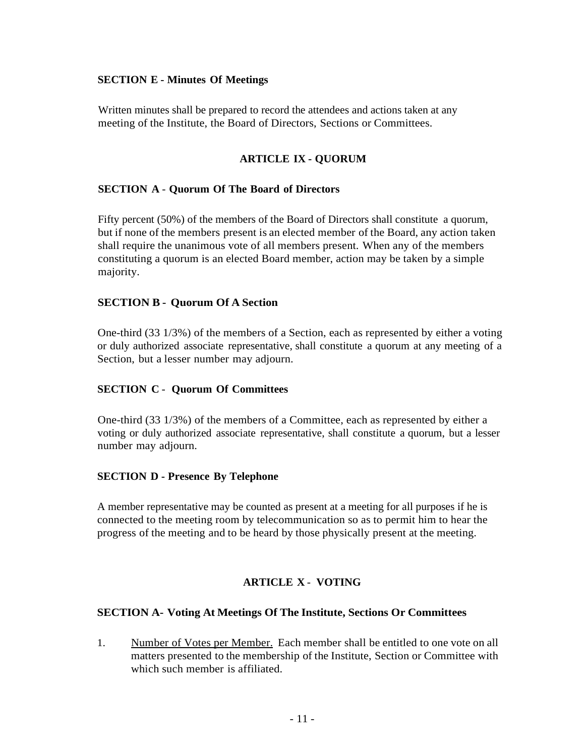#### **SECTION E - Minutes Of Meetings**

Written minutes shall be prepared to record the attendees and actions taken at any meeting of the Institute, the Board of Directors, Sections or Committees.

# **ARTICLE IX - QUORUM**

## **SECTION A** - **Quorum Of The Board of Directors**

Fifty percent (50%) of the members of the Board of Directors shall constitute a quorum, but if none of the members present is an elected member of the Board, any action taken shall require the unanimous vote of all members present. When any of the members constituting a quorum is an elected Board member, action may be taken by a simple majority.

#### **SECTION B - Quorum Of A Section**

One-third (33 1/3%) of the members of a Section, each as represented by either a voting or duly authorized associate representative, shall constitute a quorum at any meeting of a Section, but a lesser number may adjourn.

#### **SECTION C** - **Quorum Of Committees**

One-third (33 1/3%) of the members of a Committee, each as represented by either a voting or duly authorized associate representative, shall constitute a quorum, but a lesser number may adjourn.

#### **SECTION D - Presence By Telephone**

A member representative may be counted as present at a meeting for all purposes if he is connected to the meeting room by telecommunication so as to permit him to hear the progress of the meeting and to be heard by those physically present at the meeting.

# **ARTICLE X** - **VOTING**

#### **SECTION A- Voting At Meetings Of The Institute, Sections Or Committees**

1. Number of Votes per Member. Each member shall be entitled to one vote on all matters presented to the membership of the Institute, Section or Committee with which such member is affiliated.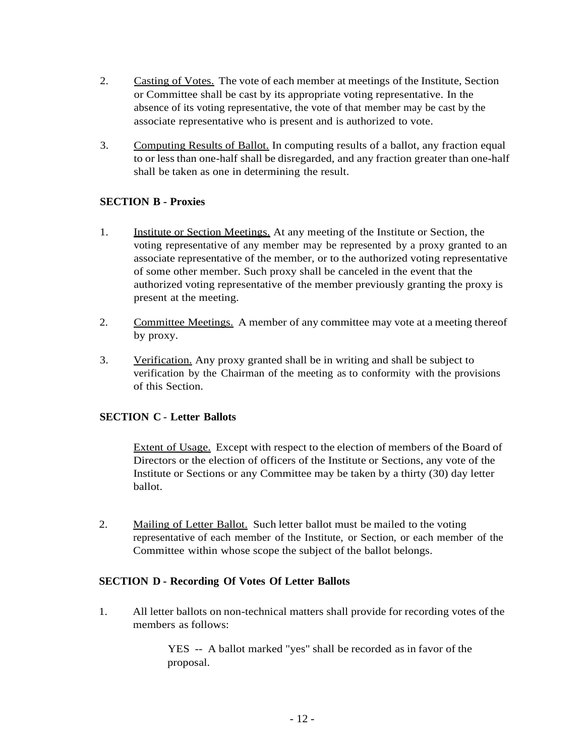- 2. Casting of Votes. The vote of each member at meetings of the Institute, Section or Committee shall be cast by its appropriate voting representative. In the absence of its voting representative, the vote of that member may be cast by the associate representative who is present and is authorized to vote.
- 3. Computing Results of Ballot. In computing results of a ballot, any fraction equal to or less than one-half shall be disregarded, and any fraction greater than one-half shall be taken as one in determining the result.

## **SECTION B - Proxies**

- 1. Institute or Section Meetings. At any meeting of the Institute or Section, the voting representative of any member may be represented by a proxy granted to an associate representative of the member, or to the authorized voting representative of some other member. Such proxy shall be canceled in the event that the authorized voting representative of the member previously granting the proxy is present at the meeting.
- 2. Committee Meetings. A member of any committee may vote at a meeting thereof by proxy.
- 3. Verification. Any proxy granted shall be in writing and shall be subject to verification by the Chairman of the meeting as to conformity with the provisions of this Section.

#### **SECTION C** - **Letter Ballots**

Extent of Usage. Except with respect to the election of members of the Board of Directors or the election of officers of the Institute or Sections, any vote of the Institute or Sections or any Committee may be taken by a thirty (30) day letter ballot.

2. Mailing of Letter Ballot. Such letter ballot must be mailed to the voting representative of each member of the Institute, or Section, or each member of the Committee within whose scope the subject of the ballot belongs.

## **SECTION D - Recording Of Votes Of Letter Ballots**

1. All letter ballots on non-technical matters shall provide for recording votes of the members as follows:

> YES -- A ballot marked "yes" shall be recorded as in favor of the proposal.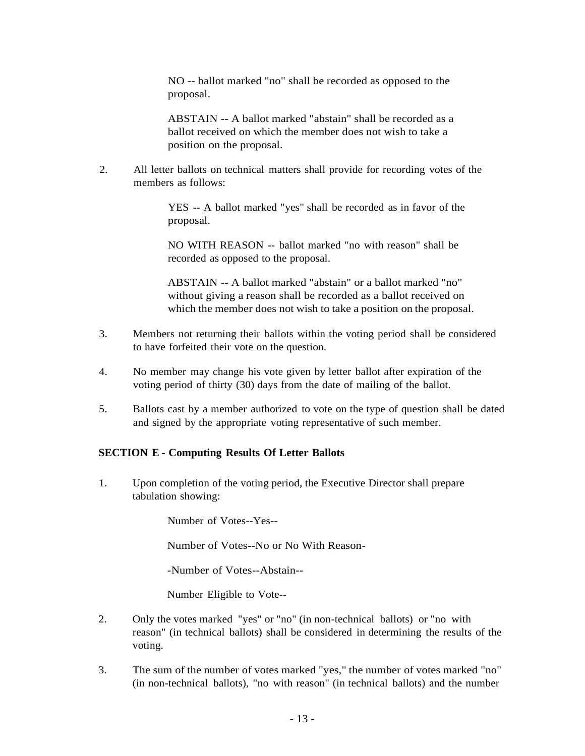NO -- ballot marked "no" shall be recorded as opposed to the proposal.

ABSTAIN -- A ballot marked "abstain" shall be recorded as a ballot received on which the member does not wish to take a position on the proposal.

2. All letter ballots on technical matters shall provide for recording votes of the members as follows:

> YES -- A ballot marked "yes" shall be recorded as in favor of the proposal.

NO WITH REASON -- ballot marked "no with reason" shall be recorded as opposed to the proposal.

ABSTAIN -- A ballot marked "abstain" or a ballot marked "no" without giving a reason shall be recorded as a ballot received on which the member does not wish to take a position on the proposal.

- 3. Members not returning their ballots within the voting period shall be considered to have forfeited their vote on the question.
- 4. No member may change his vote given by letter ballot after expiration of the voting period of thirty (30) days from the date of mailing of the ballot.
- 5. Ballots cast by a member authorized to vote on the type of question shall be dated and signed by the appropriate voting representative of such member.

#### **SECTION E - Computing Results Of Letter Ballots**

1. Upon completion of the voting period, the Executive Director shall prepare tabulation showing:

Number of Votes--Yes--

Number of Votes--No or No With Reason-

-Number of Votes--Abstain--

Number Eligible to Vote--

- 2. Only the votes marked "yes" or "no" (in non-technical ballots) or "no with reason" (in technical ballots) shall be considered in determining the results of the voting.
- 3. The sum of the number of votes marked "yes," the number of votes marked "no" (in non-technical ballots), "no with reason" (in technical ballots) and the number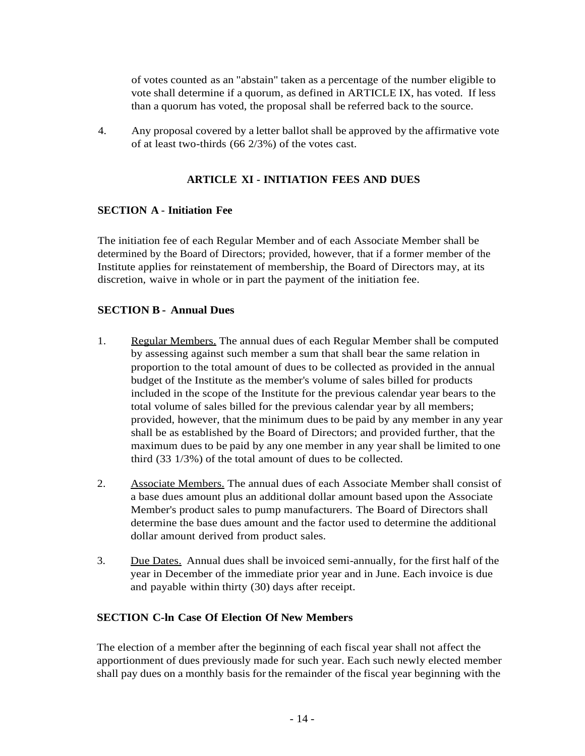of votes counted as an "abstain" taken as a percentage of the number eligible to vote shall determine if a quorum, as defined in ARTICLE IX, has voted. If less than a quorum has voted, the proposal shall be referred back to the source.

4. Any proposal covered by a letter ballot shall be approved by the affirmative vote of at least two-thirds (66 2/3%) of the votes cast.

## **ARTICLE XI - INITIATION FEES AND DUES**

#### **SECTION A** - **Initiation Fee**

The initiation fee of each Regular Member and of each Associate Member shall be determined by the Board of Directors; provided, however, that if a former member of the Institute applies for reinstatement of membership, the Board of Directors may, at its discretion, waive in whole or in part the payment of the initiation fee.

#### **SECTION B - Annual Dues**

- 1. Regular Members. The annual dues of each Regular Member shall be computed by assessing against such member a sum that shall bear the same relation in proportion to the total amount of dues to be collected as provided in the annual budget of the Institute as the member's volume of sales billed for products included in the scope of the Institute for the previous calendar year bears to the total volume of sales billed for the previous calendar year by all members; provided, however, that the minimum dues to be paid by any member in any year shall be as established by the Board of Directors; and provided further, that the maximum dues to be paid by any one member in any year shall be limited to one third (33 1/3%) of the total amount of dues to be collected.
- 2. Associate Members. The annual dues of each Associate Member shall consist of a base dues amount plus an additional dollar amount based upon the Associate Member's product sales to pump manufacturers. The Board of Directors shall determine the base dues amount and the factor used to determine the additional dollar amount derived from product sales.
- 3. Due Dates. Annual dues shall be invoiced semi-annually, for the first half of the year in December of the immediate prior year and in June. Each invoice is due and payable within thirty (30) days after receipt.

#### **SECTION C-ln Case Of Election Of New Members**

The election of a member after the beginning of each fiscal year shall not affect the apportionment of dues previously made for such year. Each such newly elected member shall pay dues on a monthly basis for the remainder of the fiscal year beginning with the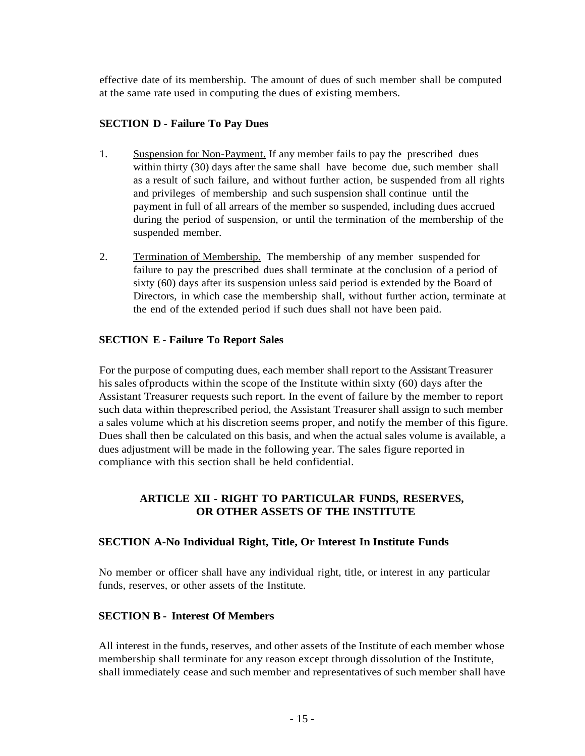effective date of its membership. The amount of dues of such member shall be computed at the same rate used in computing the dues of existing members.

#### **SECTION D - Failure To Pay Dues**

- 1. Suspension for Non-Payment. If any member fails to pay the prescribed dues within thirty (30) days after the same shall have become due, such member shall as a result of such failure, and without further action, be suspended from all rights and privileges of membership and such suspension shall continue until the payment in full of all arrears of the member so suspended, including dues accrued during the period of suspension, or until the termination of the membership of the suspended member.
- 2. Termination of Membership. The membership of any member suspended for failure to pay the prescribed dues shall terminate at the conclusion of a period of sixty (60) days after its suspension unless said period is extended by the Board of Directors, in which case the membership shall, without further action, terminate at the end of the extended period if such dues shall not have been paid.

#### **SECTION E - Failure To Report Sales**

For the purpose of computing dues, each member shall report to the Assistant Treasurer his sales of products within the scope of the Institute within sixty (60) days after the Assistant Treasurer requests such report. In the event of failure by the member to report such data within theprescribed period, the Assistant Treasurer shall assign to such member a sales volume which at his discretion seems proper, and notify the member of this figure. Dues shall then be calculated on this basis, and when the actual sales volume is available, a dues adjustment will be made in the following year. The sales figure reported in compliance with this section shall be held confidential.

# **ARTICLE XII - RIGHT TO PARTICULAR FUNDS, RESERVES, OR OTHER ASSETS OF THE INSTITUTE**

#### **SECTION A-No Individual Right, Title, Or Interest In Institute Funds**

No member or officer shall have any individual right, title, or interest in any particular funds, reserves, or other assets of the Institute.

#### **SECTION B - Interest Of Members**

All interest in the funds, reserves, and other assets of the Institute of each member whose membership shall terminate for any reason except through dissolution of the Institute, shall immediately cease and such member and representatives of such member shall have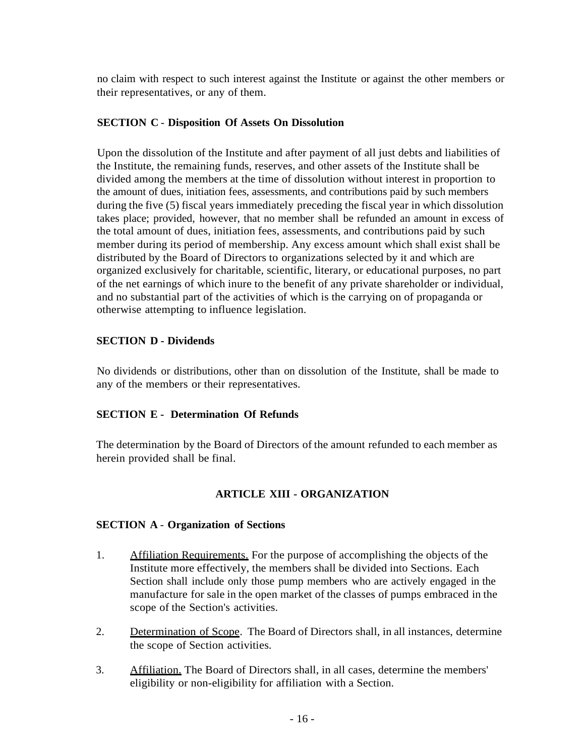no claim with respect to such interest against the Institute or against the other members or their representatives, or any of them.

#### **SECTION C** - **Disposition Of Assets On Dissolution**

Upon the dissolution of the Institute and after payment of all just debts and liabilities of the Institute, the remaining funds, reserves, and other assets of the Institute shall be divided among the members at the time of dissolution without interest in proportion to the amount of dues, initiation fees, assessments, and contributions paid by such members during the five (5) fiscal years immediately preceding the fiscal year in which dissolution takes place; provided, however, that no member shall be refunded an amount in excess of the total amount of dues, initiation fees, assessments, and contributions paid by such member during its period of membership. Any excess amount which shall exist shall be distributed by the Board of Directors to organizations selected by it and which are organized exclusively for charitable, scientific, literary, or educational purposes, no part of the net earnings of which inure to the benefit of any private shareholder or individual, and no substantial part of the activities of which is the carrying on of propaganda or otherwise attempting to influence legislation.

## **SECTION D - Dividends**

No dividends or distributions, other than on dissolution of the Institute, shall be made to any of the members or their representatives.

#### **SECTION E - Determination Of Refunds**

The determination by the Board of Directors of the amount refunded to each member as herein provided shall be final.

# **ARTICLE XIII - ORGANIZATION**

#### **SECTION A** - **Organization of Sections**

- 1. Affiliation Requirements. For the purpose of accomplishing the objects of the Institute more effectively, the members shall be divided into Sections. Each Section shall include only those pump members who are actively engaged in the manufacture for sale in the open market of the classes of pumps embraced in the scope of the Section's activities.
- 2. Determination of Scope. The Board of Directors shall, in all instances, determine the scope of Section activities.
- 3. Affiliation. The Board of Directors shall, in all cases, determine the members' eligibility or non-eligibility for affiliation with a Section.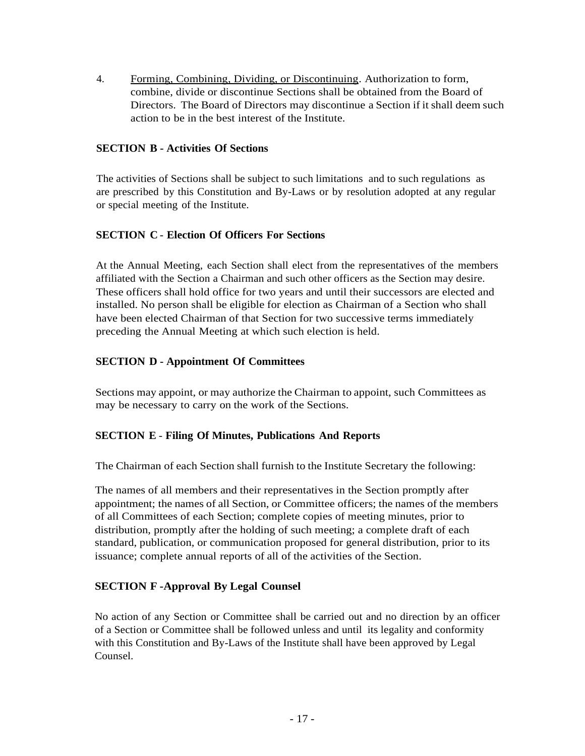4. Forming, Combining, Dividing, or Discontinuing. Authorization to form, combine, divide or discontinue Sections shall be obtained from the Board of Directors. The Board of Directors may discontinue a Section if it shall deem such action to be in the best interest of the Institute.

#### **SECTION B - Activities Of Sections**

The activities of Sections shall be subject to such limitations and to such regulations as are prescribed by this Constitution and By-Laws or by resolution adopted at any regular or special meeting of the Institute.

#### **SECTION C** - **Election Of Officers For Sections**

At the Annual Meeting, each Section shall elect from the representatives of the members affiliated with the Section a Chairman and such other officers as the Section may desire. These officers shall hold office for two years and until their successors are elected and installed. No person shall be eligible for election as Chairman of a Section who shall have been elected Chairman of that Section for two successive terms immediately preceding the Annual Meeting at which such election is held.

#### **SECTION D - Appointment Of Committees**

Sections may appoint, or may authorize the Chairman to appoint, such Committees as may be necessary to carry on the work of the Sections.

#### **SECTION E** - **Filing Of Minutes, Publications And Reports**

The Chairman of each Section shall furnish to the Institute Secretary the following:

The names of all members and their representatives in the Section promptly after appointment; the names of all Section, or Committee officers; the names of the members of all Committees of each Section; complete copies of meeting minutes, prior to distribution, promptly after the holding of such meeting; a complete draft of each standard, publication, or communication proposed for general distribution, prior to its issuance; complete annual reports of all of the activities of the Section.

#### **SECTION F -Approval By Legal Counsel**

No action of any Section or Committee shall be carried out and no direction by an officer of a Section or Committee shall be followed unless and until its legality and conformity with this Constitution and By-Laws of the Institute shall have been approved by Legal Counsel.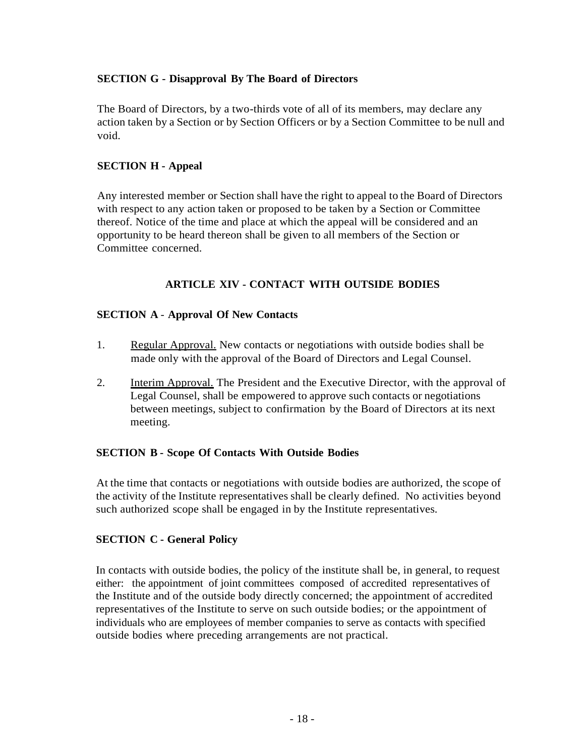# **SECTION G - Disapproval By The Board of Directors**

The Board of Directors, by a two-thirds vote of all of its members, may declare any action taken by a Section or by Section Officers or by a Section Committee to be null and void.

#### **SECTION H - Appeal**

Any interested member or Section shall have the right to appeal to the Board of Directors with respect to any action taken or proposed to be taken by a Section or Committee thereof. Notice of the time and place at which the appeal will be considered and an opportunity to be heard thereon shall be given to all members of the Section or Committee concerned.

## **ARTICLE XIV - CONTACT WITH OUTSIDE BODIES**

#### **SECTION A** - **Approval Of New Contacts**

- 1. Regular Approval. New contacts or negotiations with outside bodies shall be made only with the approval of the Board of Directors and Legal Counsel.
- 2. Interim Approval. The President and the Executive Director, with the approval of Legal Counsel, shall be empowered to approve such contacts or negotiations between meetings, subject to confirmation by the Board of Directors at its next meeting.

#### **SECTION B - Scope Of Contacts With Outside Bodies**

At the time that contacts or negotiations with outside bodies are authorized, the scope of the activity of the Institute representatives shall be clearly defined. No activities beyond such authorized scope shall be engaged in by the Institute representatives.

#### **SECTION C - General Policy**

In contacts with outside bodies, the policy of the institute shall be, in general, to request either: the appointment of joint committees composed of accredited representatives of the Institute and of the outside body directly concerned; the appointment of accredited representatives of the Institute to serve on such outside bodies; or the appointment of individuals who are employees of member companies to serve as contacts with specified outside bodies where preceding arrangements are not practical.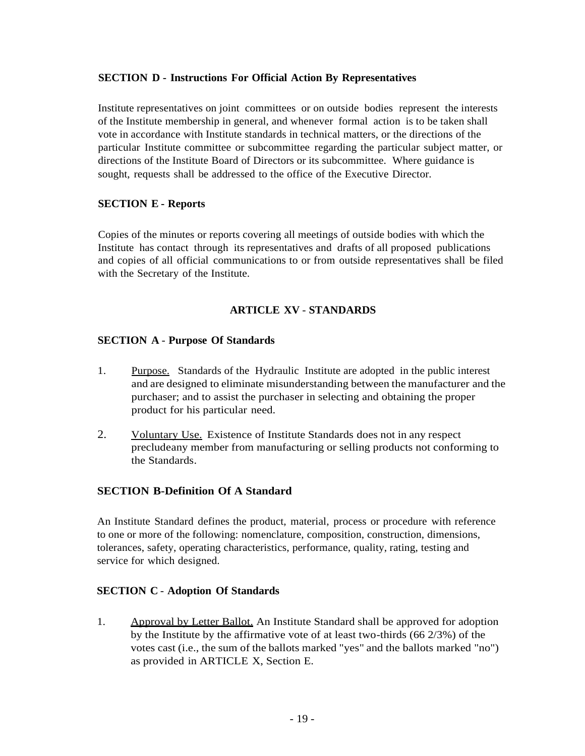#### **SECTION D - Instructions For Official Action By Representatives**

Institute representatives on joint committees or on outside bodies represent the interests of the Institute membership in general, and whenever formal action is to be taken shall vote in accordance with Institute standards in technical matters, or the directions of the particular Institute committee or subcommittee regarding the particular subject matter, or directions of the Institute Board of Directors or its subcommittee. Where guidance is sought, requests shall be addressed to the office of the Executive Director.

#### **SECTION E - Reports**

Copies of the minutes or reports covering all meetings of outside bodies with which the Institute has contact through its representatives and drafts of all proposed publications and copies of all official communications to or from outside representatives shall be filed with the Secretary of the Institute.

## **ARTICLE XV** - **STANDARDS**

#### **SECTION A** - **Purpose Of Standards**

- 1. Purpose. Standards of the Hydraulic Institute are adopted in the public interest and are designed to eliminate misunderstanding between the manufacturer and the purchaser; and to assist the purchaser in selecting and obtaining the proper product for his particular need.
- 2. Voluntary Use. Existence of Institute Standards does not in any respect precludeany member from manufacturing or selling products not conforming to the Standards.

#### **SECTION B-Definition Of A Standard**

An Institute Standard defines the product, material, process or procedure with reference to one or more of the following: nomenclature, composition, construction, dimensions, tolerances, safety, operating characteristics, performance, quality, rating, testing and service for which designed.

#### **SECTION C** - **Adoption Of Standards**

1. Approval by Letter Ballot. An Institute Standard shall be approved for adoption by the Institute by the affirmative vote of at least two-thirds (66 2/3%) of the votes cast (i.e., the sum of the ballots marked "yes" and the ballots marked "no") as provided in ARTICLE X, Section E.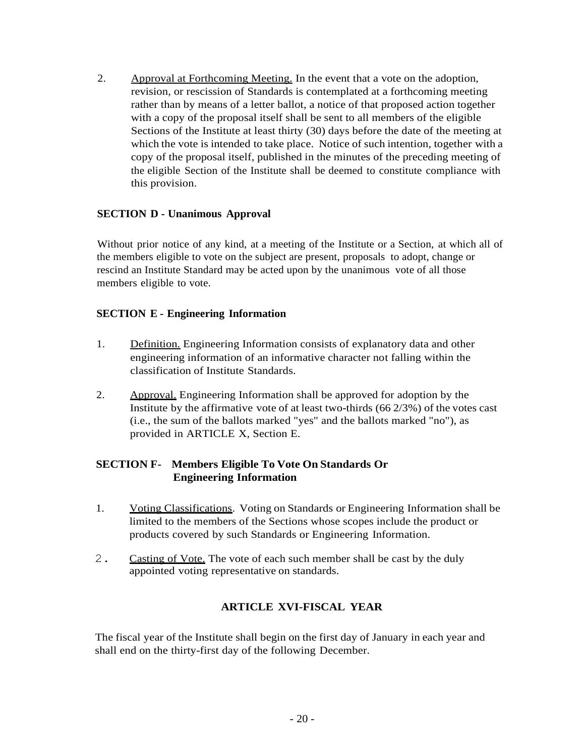2. Approval at Forthcoming Meeting. In the event that a vote on the adoption, revision, or rescission of Standards is contemplated at a forthcoming meeting rather than by means of a letter ballot, a notice of that proposed action together with a copy of the proposal itself shall be sent to all members of the eligible Sections of the Institute at least thirty (30) days before the date of the meeting at which the vote is intended to take place. Notice of such intention, together with a copy of the proposal itself, published in the minutes of the preceding meeting of the eligible Section of the Institute shall be deemed to constitute compliance with this provision.

#### **SECTION D - Unanimous Approval**

Without prior notice of any kind, at a meeting of the Institute or a Section, at which all of the members eligible to vote on the subject are present, proposals to adopt, change or rescind an Institute Standard may be acted upon by the unanimous vote of all those members eligible to vote.

#### **SECTION E - Engineering Information**

- 1. Definition. Engineering Information consists of explanatory data and other engineering information of an informative character not falling within the classification of Institute Standards.
- 2. Approval. Engineering Information shall be approved for adoption by the Institute by the affirmative vote of at least two-thirds (66 2/3%) of the votes cast (i.e., the sum of the ballots marked "yes" and the ballots marked "no"), as provided in ARTICLE X, Section E.

#### **SECTION F- Members Eligible To Vote On Standards Or Engineering Information**

- 1. Voting Classifications. Voting on Standards or Engineering Information shall be limited to the members of the Sections whose scopes include the product or products covered by such Standards or Engineering Information.
- 2. Casting of Vote. The vote of each such member shall be cast by the duly appointed voting representative on standards.

#### **ARTICLE XVI-FISCAL YEAR**

The fiscal year of the Institute shall begin on the first day of January in each year and shall end on the thirty-first day of the following December.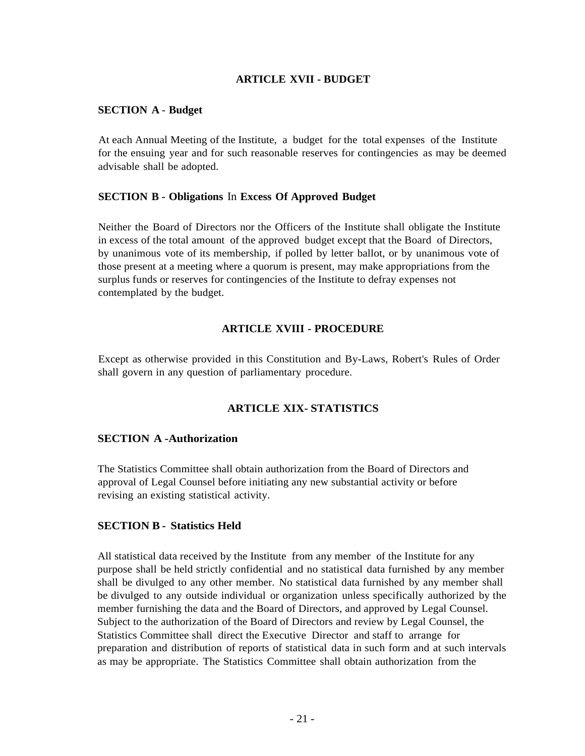#### **ARTICLE XVII - BUDGET**

#### **SECTION A** - **Budget**

At each Annual Meeting of the Institute, a budget for the total expenses of the Institute for the ensuing year and for such reasonable reserves for contingencies as may be deemed advisable shall be adopted.

#### **SECTION B - Obligations** In **Excess Of Approved Budget**

Neither the Board of Directors nor the Officers of the Institute shall obligate the Institute in excess of the total amount of the approved budget except that the Board of Directors, by unanimous vote of its membership, if polled by letter ballot, or by unanimous vote of those present at a meeting where a quorum is present, may make appropriations from the surplus funds or reserves for contingencies of the Institute to defray expenses not contemplated by the budget.

#### **ARTICLE XVIII - PROCEDURE**

Except as otherwise provided in this Constitution and By-Laws, Robert's Rules of Order shall govern in any question of parliamentary procedure.

#### **ARTICLE XIX- STATISTICS**

#### **SECTION A -Authorization**

The Statistics Committee shall obtain authorization from the Board of Directors and approval of Legal Counsel before initiating any new substantial activity or before revising an existing statistical activity.

#### **SECTION B - Statistics Held**

All statistical data received by the Institute from any member of the Institute for any purpose shall be held strictly confidential and no statistical data furnished by any member shall be divulged to any other member. No statistical data furnished by any member shall be divulged to any outside individual or organization unless specifically authorized by the member furnishing the data and the Board of Directors, and approved by Legal Counsel. Subject to the authorization of the Board of Directors and review by Legal Counsel, the Statistics Committee shall direct the Executive Director and staff to arrange for preparation and distribution of reports of statistical data in such form and at such intervals as may be appropriate. The Statistics Committee shall obtain authorization from the